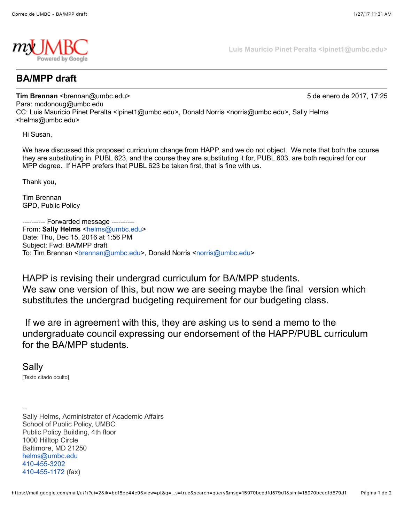

**Luis Mauricio Pinet Peralta <lpinet1@umbc.edu>**

## **BA/MPP draft**

**Tim Brennan** <br /> **Tim Brennan <br />
5 de enero de 2017, 17:25** Para: mcdonoug@umbc.edu CC: Luis Mauricio Pinet Peralta <lpinet1@umbc.edu>, Donald Norris <norris@umbc.edu>, Sally Helms <helms@umbc.edu>

Hi Susan,

We have discussed this proposed curriculum change from HAPP, and we do not object. We note that both the course they are substituting in, PUBL 623, and the course they are substituting it for, PUBL 603, are both required for our MPP degree. If HAPP prefers that PUBL 623 be taken first, that is fine with us.

Thank you,

Tim Brennan GPD, Public Policy

-- Forwarded message ---------From: Sally Helms <[helms@umbc.edu>](mailto:helms@umbc.edu) Date: Thu, Dec 15, 2016 at 1:56 PM Subject: Fwd: BA/MPP draft To: Tim Brennan <br ennan@umbc.edu>, Donald Norris <[norris@umbc.edu>](mailto:norris@umbc.edu)

HAPP is revising their undergrad curriculum for BA/MPP students.

We saw one version of this, but now we are seeing maybe the final version which substitutes the undergrad budgeting requirement for our budgeting class.

 If we are in agreement with this, they are asking us to send a memo to the undergraduate council expressing our endorsement of the HAPP/PUBL curriculum for the BA/MPP students.

Sally

[Texto citado oculto]

-- Sally Helms, Administrator of Academic Affairs School of Public Policy, UMBC Public Policy Building, 4th floor 1000 Hilltop Circle Baltimore, MD 21250 [helms@umbc.edu](mailto:helms@umbc.edu) [410-455-3202](tel:(410)%20455-3202) [410-455-1172](tel:(410)%20455-1172) (fax)